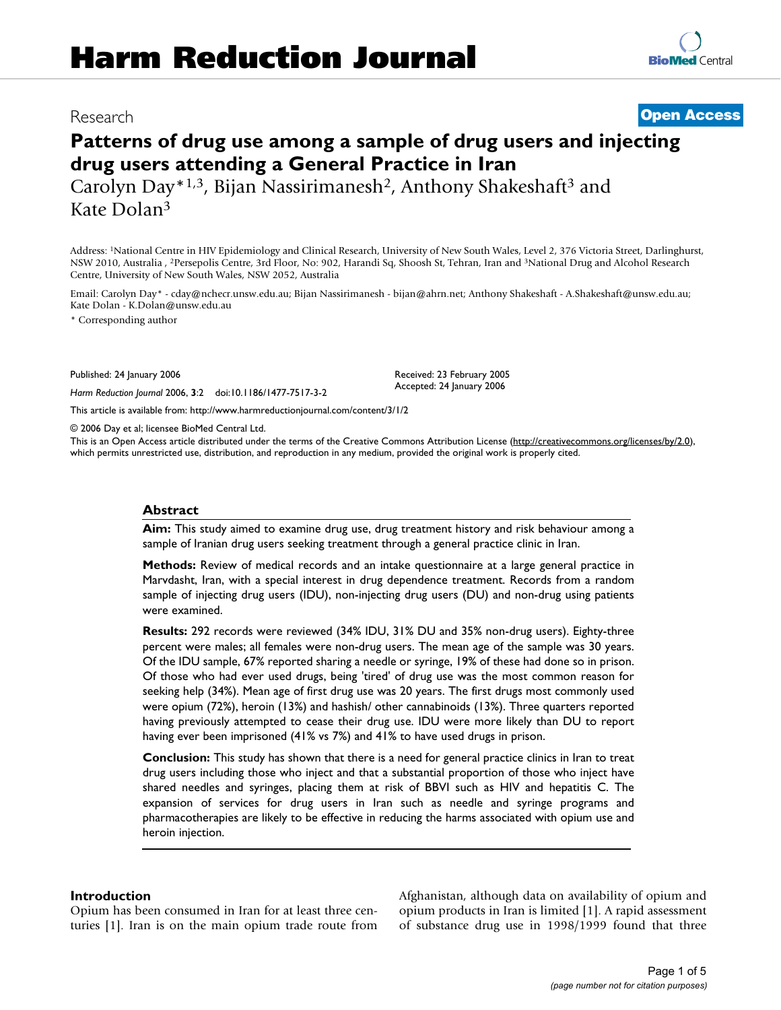# Research **[Open Access](http://www.biomedcentral.com/info/about/charter/)**

**[BioMed](http://www.biomedcentral.com/)** Central

# **Patterns of drug use among a sample of drug users and injecting drug users attending a General Practice in Iran**

Carolyn Day\*1,3, Bijan Nassirimanesh<sup>2</sup>, Anthony Shakeshaft<sup>3</sup> and Kate Dolan3

Address: 1National Centre in HIV Epidemiology and Clinical Research, University of New South Wales, Level 2, 376 Victoria Street, Darlinghurst, NSW 2010, Australia , 2Persepolis Centre, 3rd Floor, No: 902, Harandi Sq, Shoosh St, Tehran, Iran and 3National Drug and Alcohol Research Centre, University of New South Wales, NSW 2052, Australia

Email: Carolyn Day\* - cday@nchecr.unsw.edu.au; Bijan Nassirimanesh - bijan@ahrn.net; Anthony Shakeshaft - A.Shakeshaft@unsw.edu.au; Kate Dolan - K.Dolan@unsw.edu.au

\* Corresponding author

Published: 24 January 2006

*Harm Reduction Journal* 2006, **3**:2 doi:10.1186/1477-7517-3-2

Received: 23 February 2005 Accepted: 24 January 2006

[This article is available from: http://www.harmreductionjournal.com/content/3/1/2](http://www.harmreductionjournal.com/content/3/1/2)

© 2006 Day et al; licensee BioMed Central Ltd.

This is an Open Access article distributed under the terms of the Creative Commons Attribution License [\(http://creativecommons.org/licenses/by/2.0\)](http://creativecommons.org/licenses/by/2.0), which permits unrestricted use, distribution, and reproduction in any medium, provided the original work is properly cited.

#### **Abstract**

**Aim:** This study aimed to examine drug use, drug treatment history and risk behaviour among a sample of Iranian drug users seeking treatment through a general practice clinic in Iran.

**Methods:** Review of medical records and an intake questionnaire at a large general practice in Marvdasht, Iran, with a special interest in drug dependence treatment. Records from a random sample of injecting drug users (IDU), non-injecting drug users (DU) and non-drug using patients were examined.

**Results:** 292 records were reviewed (34% IDU, 31% DU and 35% non-drug users). Eighty-three percent were males; all females were non-drug users. The mean age of the sample was 30 years. Of the IDU sample, 67% reported sharing a needle or syringe, 19% of these had done so in prison. Of those who had ever used drugs, being 'tired' of drug use was the most common reason for seeking help (34%). Mean age of first drug use was 20 years. The first drugs most commonly used were opium (72%), heroin (13%) and hashish/ other cannabinoids (13%). Three quarters reported having previously attempted to cease their drug use. IDU were more likely than DU to report having ever been imprisoned (41% vs 7%) and 41% to have used drugs in prison.

**Conclusion:** This study has shown that there is a need for general practice clinics in Iran to treat drug users including those who inject and that a substantial proportion of those who inject have shared needles and syringes, placing them at risk of BBVI such as HIV and hepatitis C. The expansion of services for drug users in Iran such as needle and syringe programs and pharmacotherapies are likely to be effective in reducing the harms associated with opium use and heroin injection.

#### **Introduction**

Opium has been consumed in Iran for at least three centuries [1]. Iran is on the main opium trade route from Afghanistan, although data on availability of opium and opium products in Iran is limited [1]. A rapid assessment of substance drug use in 1998/1999 found that three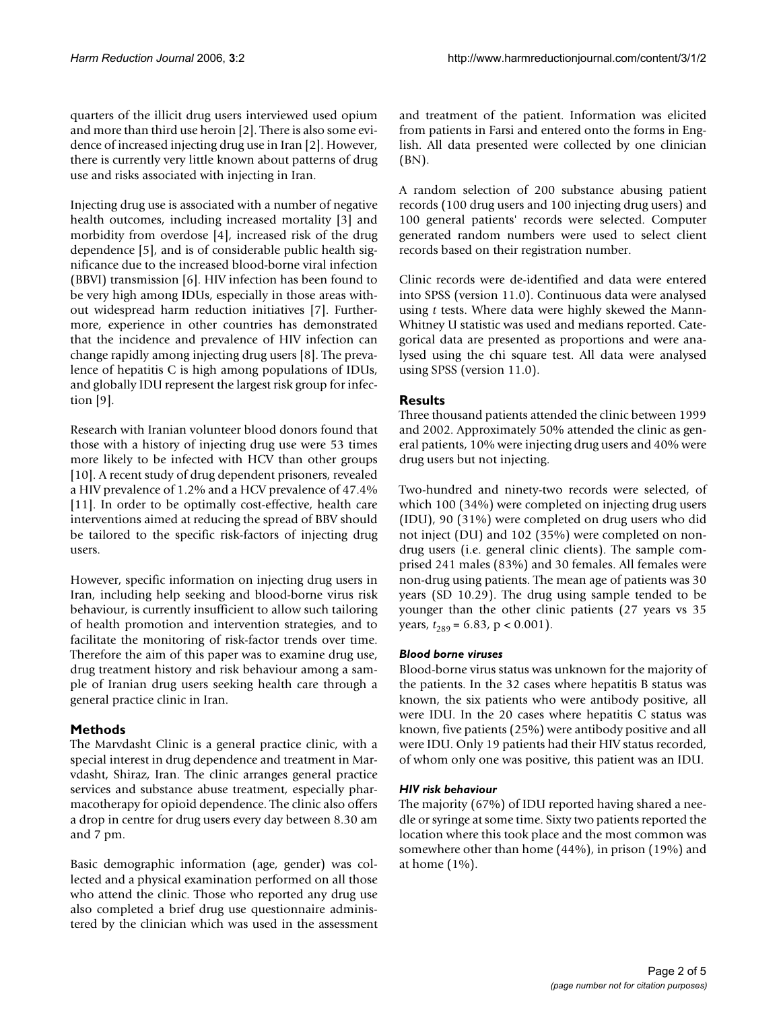quarters of the illicit drug users interviewed used opium and more than third use heroin [2]. There is also some evidence of increased injecting drug use in Iran [2]. However, there is currently very little known about patterns of drug use and risks associated with injecting in Iran.

Injecting drug use is associated with a number of negative health outcomes, including increased mortality [3] and morbidity from overdose [4], increased risk of the drug dependence [5], and is of considerable public health significance due to the increased blood-borne viral infection (BBVI) transmission [6]. HIV infection has been found to be very high among IDUs, especially in those areas without widespread harm reduction initiatives [7]. Furthermore, experience in other countries has demonstrated that the incidence and prevalence of HIV infection can change rapidly among injecting drug users [8]. The prevalence of hepatitis C is high among populations of IDUs, and globally IDU represent the largest risk group for infection [9].

Research with Iranian volunteer blood donors found that those with a history of injecting drug use were 53 times more likely to be infected with HCV than other groups [10]. A recent study of drug dependent prisoners, revealed a HIV prevalence of 1.2% and a HCV prevalence of 47.4% [11]. In order to be optimally cost-effective, health care interventions aimed at reducing the spread of BBV should be tailored to the specific risk-factors of injecting drug users.

However, specific information on injecting drug users in Iran, including help seeking and blood-borne virus risk behaviour, is currently insufficient to allow such tailoring of health promotion and intervention strategies, and to facilitate the monitoring of risk-factor trends over time. Therefore the aim of this paper was to examine drug use, drug treatment history and risk behaviour among a sample of Iranian drug users seeking health care through a general practice clinic in Iran.

## **Methods**

The Marvdasht Clinic is a general practice clinic, with a special interest in drug dependence and treatment in Marvdasht, Shiraz, Iran. The clinic arranges general practice services and substance abuse treatment, especially pharmacotherapy for opioid dependence. The clinic also offers a drop in centre for drug users every day between 8.30 am and 7 pm.

Basic demographic information (age, gender) was collected and a physical examination performed on all those who attend the clinic. Those who reported any drug use also completed a brief drug use questionnaire administered by the clinician which was used in the assessment and treatment of the patient. Information was elicited from patients in Farsi and entered onto the forms in English. All data presented were collected by one clinician (BN).

A random selection of 200 substance abusing patient records (100 drug users and 100 injecting drug users) and 100 general patients' records were selected. Computer generated random numbers were used to select client records based on their registration number.

Clinic records were de-identified and data were entered into SPSS (version 11.0). Continuous data were analysed using *t* tests. Where data were highly skewed the Mann-Whitney U statistic was used and medians reported. Categorical data are presented as proportions and were analysed using the chi square test. All data were analysed using SPSS (version 11.0).

#### **Results**

Three thousand patients attended the clinic between 1999 and 2002. Approximately 50% attended the clinic as general patients, 10% were injecting drug users and 40% were drug users but not injecting.

Two-hundred and ninety-two records were selected, of which 100 (34%) were completed on injecting drug users (IDU), 90 (31%) were completed on drug users who did not inject (DU) and 102 (35%) were completed on nondrug users (i.e. general clinic clients). The sample comprised 241 males (83%) and 30 females. All females were non-drug using patients. The mean age of patients was 30 years (SD 10.29). The drug using sample tended to be younger than the other clinic patients (27 years vs 35 years,  $t_{289}$  = 6.83, p < 0.001).

#### *Blood borne viruses*

Blood-borne virus status was unknown for the majority of the patients. In the 32 cases where hepatitis B status was known, the six patients who were antibody positive, all were IDU. In the 20 cases where hepatitis C status was known, five patients (25%) were antibody positive and all were IDU. Only 19 patients had their HIV status recorded, of whom only one was positive, this patient was an IDU.

#### *HIV risk behaviour*

The majority (67%) of IDU reported having shared a needle or syringe at some time. Sixty two patients reported the location where this took place and the most common was somewhere other than home (44%), in prison (19%) and at home (1%).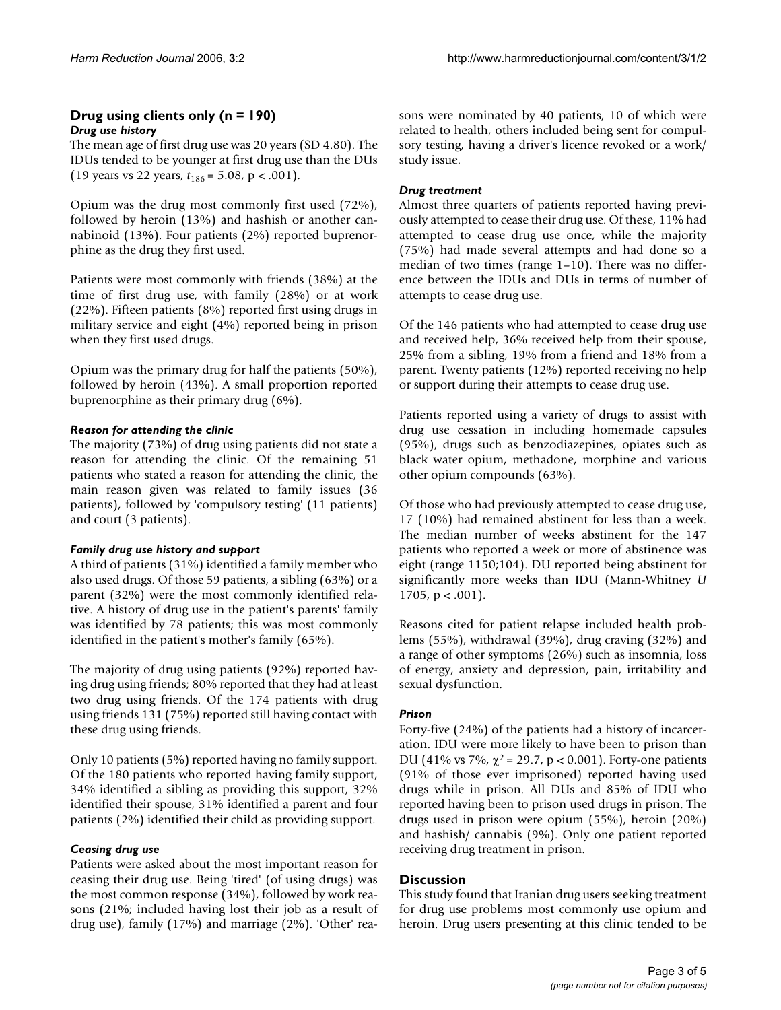#### **Drug using clients only (n = 190)** *Drug use history*

The mean age of first drug use was 20 years (SD 4.80). The IDUs tended to be younger at first drug use than the DUs (19 years vs 22 years, *t*186 = 5.08, p < .001).

Opium was the drug most commonly first used (72%), followed by heroin (13%) and hashish or another cannabinoid (13%). Four patients (2%) reported buprenorphine as the drug they first used.

Patients were most commonly with friends (38%) at the time of first drug use, with family (28%) or at work (22%). Fifteen patients (8%) reported first using drugs in military service and eight (4%) reported being in prison when they first used drugs.

Opium was the primary drug for half the patients (50%), followed by heroin (43%). A small proportion reported buprenorphine as their primary drug (6%).

#### *Reason for attending the clinic*

The majority (73%) of drug using patients did not state a reason for attending the clinic. Of the remaining 51 patients who stated a reason for attending the clinic, the main reason given was related to family issues (36 patients), followed by 'compulsory testing' (11 patients) and court (3 patients).

#### *Family drug use history and support*

A third of patients (31%) identified a family member who also used drugs. Of those 59 patients, a sibling (63%) or a parent (32%) were the most commonly identified relative. A history of drug use in the patient's parents' family was identified by 78 patients; this was most commonly identified in the patient's mother's family (65%).

The majority of drug using patients (92%) reported having drug using friends; 80% reported that they had at least two drug using friends. Of the 174 patients with drug using friends 131 (75%) reported still having contact with these drug using friends.

Only 10 patients (5%) reported having no family support. Of the 180 patients who reported having family support, 34% identified a sibling as providing this support, 32% identified their spouse, 31% identified a parent and four patients (2%) identified their child as providing support.

## *Ceasing drug use*

Patients were asked about the most important reason for ceasing their drug use. Being 'tired' (of using drugs) was the most common response (34%), followed by work reasons (21%; included having lost their job as a result of drug use), family (17%) and marriage (2%). 'Other' reasons were nominated by 40 patients, 10 of which were related to health, others included being sent for compulsory testing, having a driver's licence revoked or a work/ study issue.

#### *Drug treatment*

Almost three quarters of patients reported having previously attempted to cease their drug use. Of these, 11% had attempted to cease drug use once, while the majority (75%) had made several attempts and had done so a median of two times (range 1–10). There was no difference between the IDUs and DUs in terms of number of attempts to cease drug use.

Of the 146 patients who had attempted to cease drug use and received help, 36% received help from their spouse, 25% from a sibling, 19% from a friend and 18% from a parent. Twenty patients (12%) reported receiving no help or support during their attempts to cease drug use.

Patients reported using a variety of drugs to assist with drug use cessation in including homemade capsules (95%), drugs such as benzodiazepines, opiates such as black water opium, methadone, morphine and various other opium compounds (63%).

Of those who had previously attempted to cease drug use, 17 (10%) had remained abstinent for less than a week. The median number of weeks abstinent for the 147 patients who reported a week or more of abstinence was eight (range 1150;104). DU reported being abstinent for significantly more weeks than IDU (Mann-Whitney *U* 1705,  $p < .001$ ).

Reasons cited for patient relapse included health problems (55%), withdrawal (39%), drug craving (32%) and a range of other symptoms (26%) such as insomnia, loss of energy, anxiety and depression, pain, irritability and sexual dysfunction.

## *Prison*

Forty-five (24%) of the patients had a history of incarceration. IDU were more likely to have been to prison than DU (41% vs 7%,  $\chi^2$  = 29.7, p < 0.001). Forty-one patients (91% of those ever imprisoned) reported having used drugs while in prison. All DUs and 85% of IDU who reported having been to prison used drugs in prison. The drugs used in prison were opium (55%), heroin (20%) and hashish/ cannabis (9%). Only one patient reported receiving drug treatment in prison.

## **Discussion**

This study found that Iranian drug users seeking treatment for drug use problems most commonly use opium and heroin. Drug users presenting at this clinic tended to be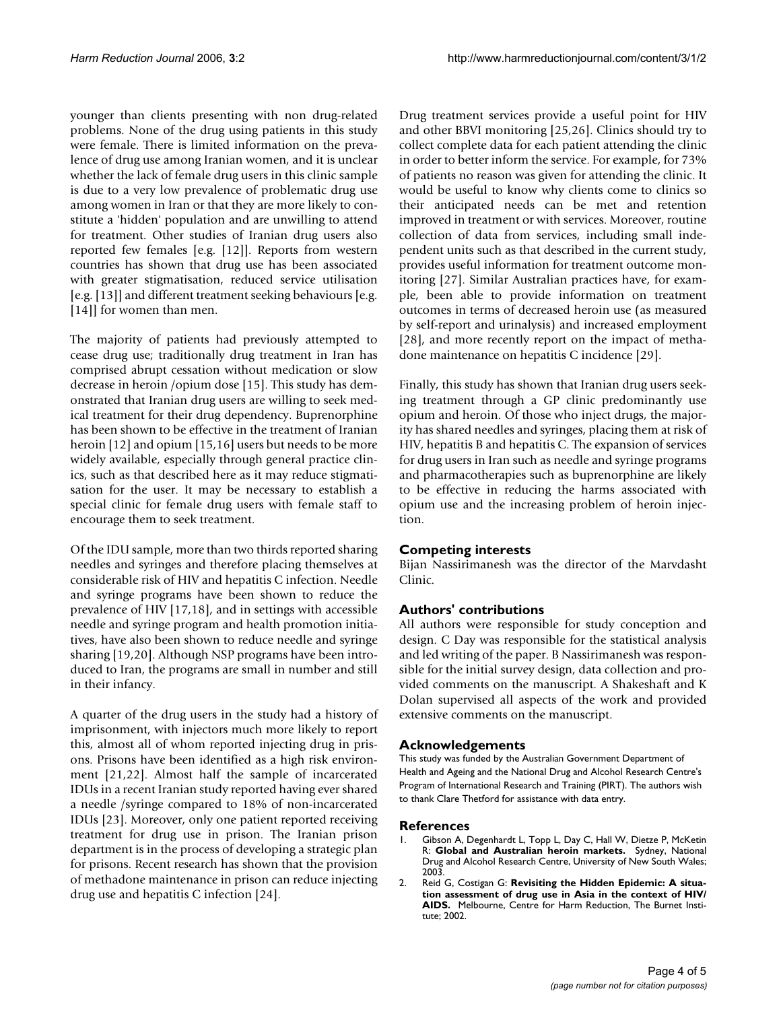younger than clients presenting with non drug-related problems. None of the drug using patients in this study were female. There is limited information on the prevalence of drug use among Iranian women, and it is unclear whether the lack of female drug users in this clinic sample is due to a very low prevalence of problematic drug use among women in Iran or that they are more likely to constitute a 'hidden' population and are unwilling to attend for treatment. Other studies of Iranian drug users also reported few females [e.g. [12]]. Reports from western countries has shown that drug use has been associated with greater stigmatisation, reduced service utilisation [e.g. [13]] and different treatment seeking behaviours [e.g. [14]] for women than men.

The majority of patients had previously attempted to cease drug use; traditionally drug treatment in Iran has comprised abrupt cessation without medication or slow decrease in heroin /opium dose [15]. This study has demonstrated that Iranian drug users are willing to seek medical treatment for their drug dependency. Buprenorphine has been shown to be effective in the treatment of Iranian heroin [12] and opium [15,16] users but needs to be more widely available, especially through general practice clinics, such as that described here as it may reduce stigmatisation for the user. It may be necessary to establish a special clinic for female drug users with female staff to encourage them to seek treatment.

Of the IDU sample, more than two thirds reported sharing needles and syringes and therefore placing themselves at considerable risk of HIV and hepatitis C infection. Needle and syringe programs have been shown to reduce the prevalence of HIV [17,18], and in settings with accessible needle and syringe program and health promotion initiatives, have also been shown to reduce needle and syringe sharing [19,20]. Although NSP programs have been introduced to Iran, the programs are small in number and still in their infancy.

A quarter of the drug users in the study had a history of imprisonment, with injectors much more likely to report this, almost all of whom reported injecting drug in prisons. Prisons have been identified as a high risk environment [21,22]. Almost half the sample of incarcerated IDUs in a recent Iranian study reported having ever shared a needle /syringe compared to 18% of non-incarcerated IDUs [23]. Moreover, only one patient reported receiving treatment for drug use in prison. The Iranian prison department is in the process of developing a strategic plan for prisons. Recent research has shown that the provision of methadone maintenance in prison can reduce injecting drug use and hepatitis C infection [24].

Drug treatment services provide a useful point for HIV and other BBVI monitoring [25,26]. Clinics should try to collect complete data for each patient attending the clinic in order to better inform the service. For example, for 73% of patients no reason was given for attending the clinic. It would be useful to know why clients come to clinics so their anticipated needs can be met and retention improved in treatment or with services. Moreover, routine collection of data from services, including small independent units such as that described in the current study, provides useful information for treatment outcome monitoring [27]. Similar Australian practices have, for example, been able to provide information on treatment outcomes in terms of decreased heroin use (as measured by self-report and urinalysis) and increased employment [28], and more recently report on the impact of methadone maintenance on hepatitis C incidence [29].

Finally, this study has shown that Iranian drug users seeking treatment through a GP clinic predominantly use opium and heroin. Of those who inject drugs, the majority has shared needles and syringes, placing them at risk of HIV, hepatitis B and hepatitis C. The expansion of services for drug users in Iran such as needle and syringe programs and pharmacotherapies such as buprenorphine are likely to be effective in reducing the harms associated with opium use and the increasing problem of heroin injection.

#### **Competing interests**

Bijan Nassirimanesh was the director of the Marvdasht Clinic.

#### **Authors' contributions**

All authors were responsible for study conception and design. C Day was responsible for the statistical analysis and led writing of the paper. B Nassirimanesh was responsible for the initial survey design, data collection and provided comments on the manuscript. A Shakeshaft and K Dolan supervised all aspects of the work and provided extensive comments on the manuscript.

#### **Acknowledgements**

This study was funded by the Australian Government Department of Health and Ageing and the National Drug and Alcohol Research Centre's Program of International Research and Training (PIRT). The authors wish to thank Clare Thetford for assistance with data entry.

#### **References**

- 1. Gibson A, Degenhardt L, Topp L, Day C, Hall W, Dietze P, McKetin R: **Global and Australian heroin markets.** Sydney, National Drug and Alcohol Research Centre, University of New South Wales; 2003.
- 2. Reid G, Costigan G: **Revisiting the Hidden Epidemic: A situation assessment of drug use in Asia in the context of HIV/ AIDS.** Melbourne, Centre for Harm Reduction, The Burnet Institute; 2002.